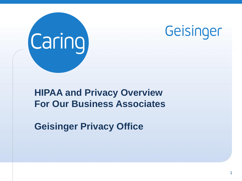



### **HIPAA and Privacy Overview For Our Business Associates**

**Geisinger Privacy Office**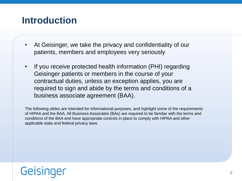### **Introduction**

- At Geisinger, we take the privacy and confidentiality of our patients, members and employees very seriously
- If you receive protected health information (PHI) regarding Geisinger patients or members in the course of your contractual duties, unless an exception applies, you are required to sign and abide by the terms and conditions of a business associate agreement (BAA).

The following slides are intended for informational purposes, and highlight some of the requirements of HIPAA and the BAA. All Business Associates (BAs) are required to be familiar with the terms and conditions of the BAA and have appropriate controls in place to comply with HIPAA and other applicable state and federal privacy laws.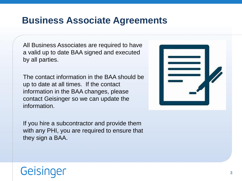#### **Business Associate Agreements**

All Business Associates are required to have a valid up to date BAA signed and executed by all parties.

The contact information in the BAA should be up to date at all times. If the contact information in the BAA changes, please contact Geisinger so we can update the information.

If you hire a subcontractor and provide them with any PHI, you are required to ensure that they sign a BAA.

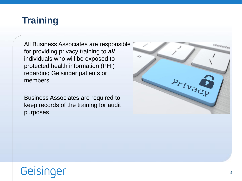### **Training**

All Business Associates are responsible for providing privacy training to *all* individuals who will be exposed to protected health information (PHI) regarding Geisinger patients or members.

Business Associates are required to keep records of the training for audit purposes.

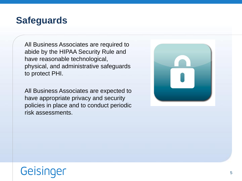#### **Safeguards**

All Business Associates are required to abide by the HIPAA Security Rule and have reasonable technological, physical, and administrative safeguards to protect PHI.

All Business Associates are expected to have appropriate privacy and security policies in place and to conduct periodic risk assessments.

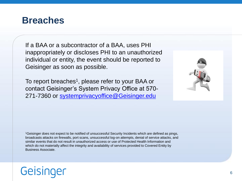#### **Breaches**

If a BAA or a subcontractor of a BAA, uses PHI inappropriately or discloses PHI to an unauthorized individual or entity, the event should be reported to Geisinger as soon as possible.

To report breaches<sup>1</sup>, please refer to your BAA or contact Geisinger's System Privacy Office at 570 271-7360 or [systemprivacyoffice@Geisinger.edu](mailto:systemprivacyoffice@Geisinger.edu)



<sup>1</sup>Geisinger does not expect to be notified of unsuccessful Security Incidents which are defined as pings, broadcasts attacks on firewalls, port scans, unsuccessful log-on attempts, denial of service attacks, and similar events that do not result in unauthorized access or use of Protected Health Information and which do not materially affect the integrity and availability of services provided to Covered Entity by Business Associate.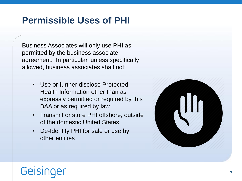### **Permissible Uses of PHI**

Business Associates will only use PHI as permitted by the business associate agreement. In particular, unless specifically allowed, business associates shall not:

- Use or further disclose Protected Health Information other than as expressly permitted or required by this BAA or as required by law
- Transmit or store PHI offshore, outside of the domestic United States
- De-Identify PHI for sale or use by other entities

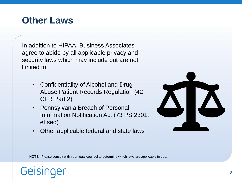#### **Other Laws**

In addition to HIPAA, Business Associates agree to abide by all applicable privacy and security laws which may include but are not limited to:

- Confidentiality of Alcohol and Drug Abuse Patient Records Regulation (42 CFR Part 2)
- Pennsylvania Breach of Personal Information Notification Act (73 PS 2301, et seq)
- Other applicable federal and state laws



NOTE: Please consult with your legal counsel to determine which laws are applicable to you.